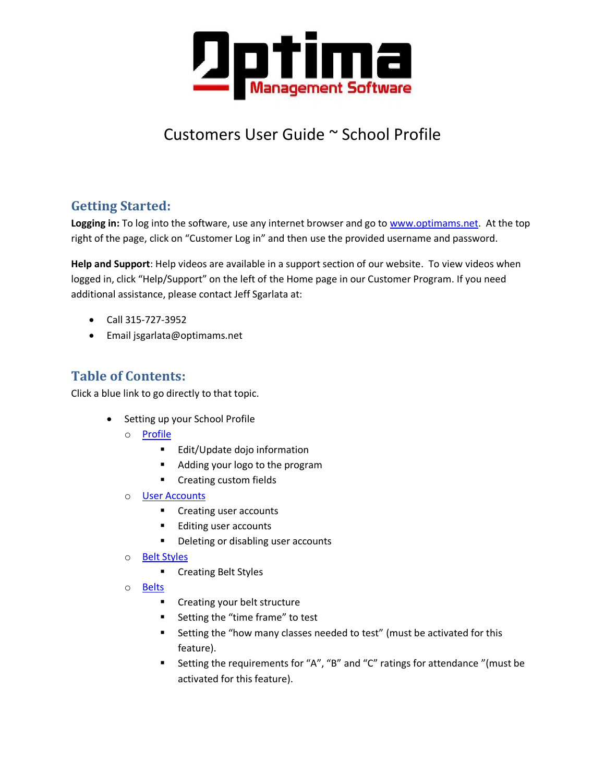

# Customers User Guide ~ School Profile

# **Getting Started:**

**Logging in:** To log into the software, use any internet browser and go to [www.optimams.net.](http://www.optimams.net/) At the top right of the page, click on "Customer Log in" and then use the provided username and password.

**Help and Support**: Help videos are available in a support section of our website. To view videos when logged in, click "Help/Support" on the left of the Home page in our Customer Program. If you need additional assistance, please contact Jeff Sgarlata at:

- Call 315-727-3952
- Email jsgarlata@optimams.net

# **Table of Contents:**

Click a blue link to go directly to that topic.

- Setting up your School Profile
	- o [Profile](#page-1-0)
		- **Edit/Update dojo information**
		- Adding your logo to the program
		- **•** Creating custom fields
	- o [User Accounts](#page-2-0)
		- **Creating user accounts**
		- Editing user accounts
		- **•** Deleting or disabling user accounts
	- o [Belt Styles](#page-4-0)
		- **EXECTE Creating Belt Styles**
	- o [Belts](#page-4-1)
		- **EXECT** Creating your belt structure
		- Setting the "time frame" to test
		- **EXECT** Setting the "how many classes needed to test" (must be activated for this feature).
		- Setting the requirements for "A", "B" and "C" ratings for attendance "(must be activated for this feature).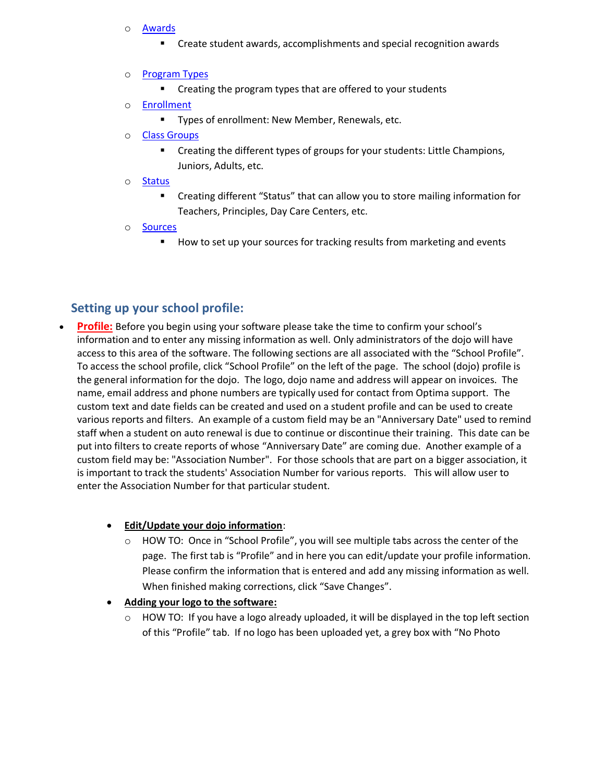- o [Awards](#page-6-0)
	- **EXP** Create student awards, accomplishments and special recognition awards
- o **[Program Types](#page-6-1)** 
	- **EXTER** Creating the program types that are offered to your students
- o [Enrollment](#page-6-2)
	- **Types of enrollment: New Member, Renewals, etc.**
- o [Class Groups](#page-7-0)
	- Creating the different types of groups for your students: Little Champions, Juniors, Adults, etc.
- o [Status](#page-7-1)
	- Creating different "Status" that can allow you to store mailing information for Teachers, Principles, Day Care Centers, etc.
- o [Sources](#page-7-2)
	- How to set up your sources for tracking results from marketing and events

# <span id="page-1-0"></span>**Setting up your school profile:**

**Profile:** Before you begin using your software please take the time to confirm your school's information and to enter any missing information as well. Only administrators of the dojo will have access to this area of the software. The following sections are all associated with the "School Profile". To access the school profile, click "School Profile" on the left of the page. The school (dojo) profile is the general information for the dojo. The logo, dojo name and address will appear on invoices. The name, email address and phone numbers are typically used for contact from Optima support. The custom text and date fields can be created and used on a student profile and can be used to create various reports and filters. An example of a custom field may be an "Anniversary Date" used to remind staff when a student on auto renewal is due to continue or discontinue their training. This date can be put into filters to create reports of whose "Anniversary Date" are coming due. Another example of a custom field may be: "Association Number". For those schools that are part on a bigger association, it is important to track the students' Association Number for various reports. This will allow user to enter the Association Number for that particular student.

#### **Edit/Update your dojo information**:

 $\circ$  HOW TO: Once in "School Profile", you will see multiple tabs across the center of the page. The first tab is "Profile" and in here you can edit/update your profile information. Please confirm the information that is entered and add any missing information as well. When finished making corrections, click "Save Changes".

#### **Adding your logo to the software:**

HOW TO: If you have a logo already uploaded, it will be displayed in the top left section of this "Profile" tab. If no logo has been uploaded yet, a grey box with "No Photo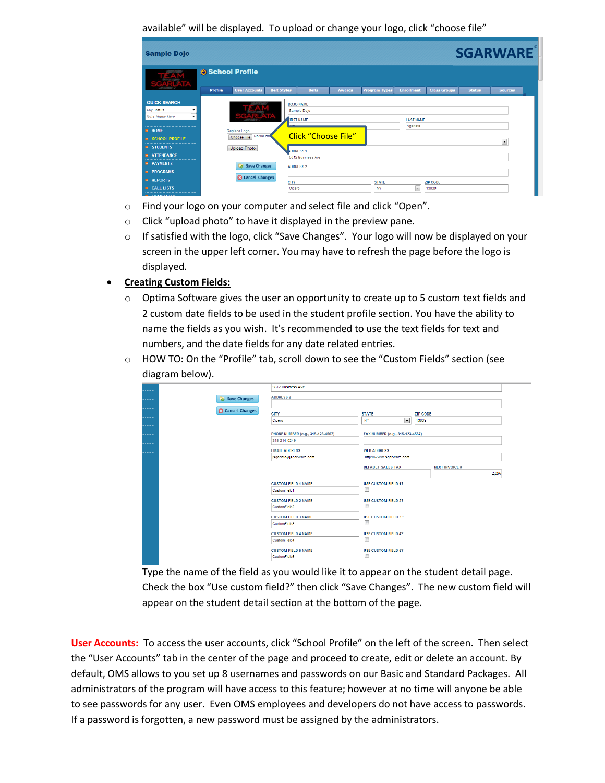available" will be displayed. To upload or change your logo, click "choose file"

| <b>Sample Dojo</b>                                                                                 |                |                         |                       |                                                     |               |                           |                              |                          |               | <b>SGARWARE</b>          |
|----------------------------------------------------------------------------------------------------|----------------|-------------------------|-----------------------|-----------------------------------------------------|---------------|---------------------------|------------------------------|--------------------------|---------------|--------------------------|
|                                                                                                    |                | School Profile          |                       |                                                     |               |                           |                              |                          |               |                          |
|                                                                                                    | <b>Profile</b> | <b>User Accounts</b>    | <b>Belt Styles</b>    | <b>Belts</b>                                        | <b>Awards</b> | <b>Program Types</b>      | <b>Enrollment</b>            | <b>Class Groups</b>      | <b>Status</b> | <b>Sources</b>           |
| <b>QUICK SEARCH</b><br><b>Any Status</b><br><b>Enter Name Here</b><br>$\mathbf{v}$<br><br>$H$ HOME |                | Replace Logo            |                       | <b>DOJO NAME</b><br>Sample Dojo<br><b>IRST NAME</b> |               |                           | <b>LAST NAME</b><br>Sgarlata |                          |               |                          |
| <br><b>SCHOOL PROFILE</b><br>                                                                      |                | Choose File No file che |                       | <b>Click "Choose File"</b>                          |               |                           |                              |                          |               | $\overline{\phantom{0}}$ |
| <b>B</b> STUDENTS<br><b>B</b> ATTENDANCE                                                           |                | Upload Photo            |                       | <b>ADDRESS1</b><br>5612 Business Ave                |               |                           |                              |                          |               |                          |
| <br><b>PAYMENTS</b><br>-------------------------------------                                       |                | Save Changes            |                       | <b>ADDRESS 2</b>                                    |               |                           |                              |                          |               |                          |
| <b>PROGRAMS</b><br>۰<br>                                                                           |                | <b>Cancel Changes</b>   |                       |                                                     |               |                           |                              |                          |               |                          |
| <b>REPORTS</b><br><br><b>EL CALL LISTS</b><br>                                                     |                |                         | <b>CITY</b><br>Cicero |                                                     |               | <b>STATE</b><br><b>NY</b> | $\overline{\phantom{a}}$     | <b>ZIP CODE</b><br>13039 |               |                          |
| P378888118778                                                                                      |                |                         |                       |                                                     |               |                           |                              |                          |               |                          |

- o Find your logo on your computer and select file and click "Open".
- o Click "upload photo" to have it displayed in the preview pane.
- $\circ$  If satisfied with the logo, click "Save Changes". Your logo will now be displayed on your screen in the upper left corner. You may have to refresh the page before the logo is displayed.
- **Creating Custom Fields:**
	- $\circ$  Optima Software gives the user an opportunity to create up to 5 custom text fields and 2 custom date fields to be used in the student profile section. You have the ability to name the fields as you wish. It's recommended to use the text fields for text and numbers, and the date fields for any date related entries.
	- o HOW TO: On the "Profile" tab, scroll down to see the "Custom Fields" section (see diagram below).

| .       |                       | 5612 Business Ave                 |                                       |                       |
|---------|-----------------------|-----------------------------------|---------------------------------------|-----------------------|
| .       | Save Changes          | <b>ADDRESS 2</b>                  |                                       |                       |
|         | <b>Cancel Changes</b> |                                   |                                       |                       |
| ------- |                       | <b>CITY</b>                       | <b>STATE</b>                          | <b>ZIP CODE</b>       |
|         |                       | Cicero                            | $\overline{\phantom{0}}$<br><b>NY</b> | 13039                 |
|         |                       |                                   |                                       |                       |
| ------- |                       | PHONE NUMBER (e.g., 315-123-4567) | FAX NUMBER (e.g., 315-123-4567)       |                       |
|         |                       | 315-214-0249                      |                                       |                       |
| ------- |                       | <b>EMAIL ADDRESS</b>              | <b>WEB ADDRESS</b>                    |                       |
| ------- |                       | jsgarlata@sgarware.com            | http://www.sgarware.com               |                       |
|         |                       |                                   | <b>DEFAULT SALES TAX</b>              | <b>NEXT INVOICE #</b> |
| ------- |                       |                                   |                                       | 2,096                 |
|         |                       | <b>CUSTOM FIELD 1 NAME</b>        | <b>USE CUSTOM FIELD 1?</b>            |                       |
|         |                       | CustomField1                      | E                                     |                       |
|         |                       | <b>CUSTOM FIELD 2 NAME</b>        | <b>USE CUSTOM FIELD 2?</b>            |                       |
|         |                       | CustomField2                      | $\Box$                                |                       |
|         |                       | <b>CUSTOM FIELD 3 NAME</b>        | <b>USE CUSTOM FIELD 3?</b>            |                       |
|         |                       | CustomField3                      | o                                     |                       |
|         |                       |                                   |                                       |                       |
|         |                       | <b>CUSTOM FIELD 4 NAME</b>        | <b>USE CUSTOM FIELD 4?</b>            |                       |
|         |                       | CustomField4                      | E                                     |                       |
|         |                       | <b>CUSTOM FIELD 5 NAME</b>        | <b>USE CUSTOM FIELD 5?</b>            |                       |
|         |                       | CustomField5                      | E                                     |                       |
|         |                       |                                   |                                       |                       |

Type the name of the field as you would like it to appear on the student detail page. Check the box "Use custom field?" then click "Save Changes". The new custom field will appear on the student detail section at the bottom of the page.

<span id="page-2-0"></span>**User Accounts:** To access the user accounts, click "School Profile" on the left of the screen. Then select the "User Accounts" tab in the center of the page and proceed to create, edit or delete an account. By default, OMS allows to you set up 8 usernames and passwords on our Basic and Standard Packages. All administrators of the program will have access to this feature; however at no time will anyone be able to see passwords for any user. Even OMS employees and developers do not have access to passwords. If a password is forgotten, a new password must be assigned by the administrators.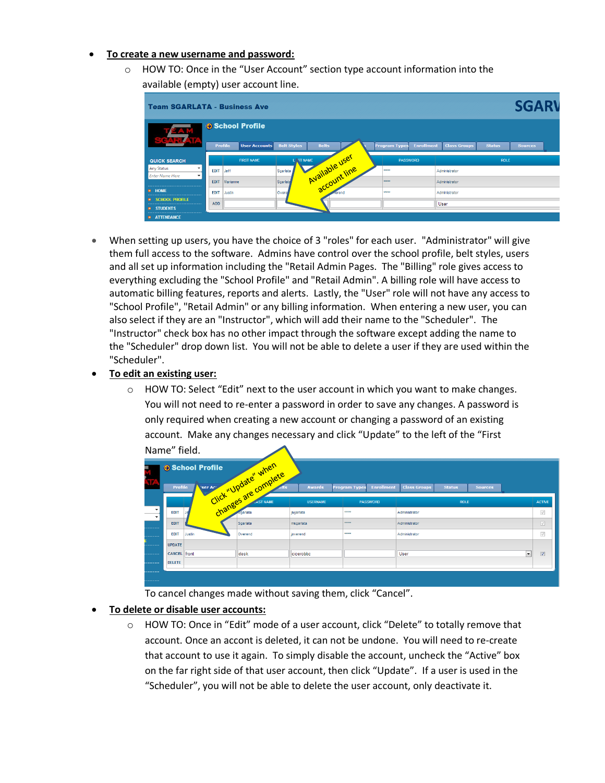#### **To create a new username and password:**

 $\circ$  HOW TO: Once in the "User Account" section type account information into the available (empty) user account line.

|                                                                                                             | <b>Team SGARLATA - Business Ave</b>                      |                                        |                                           |                                      | <b>SGARV</b>   |
|-------------------------------------------------------------------------------------------------------------|----------------------------------------------------------|----------------------------------------|-------------------------------------------|--------------------------------------|----------------|
| EAM<br><b>COL</b>                                                                                           | School Profile<br><b>Profile</b><br><b>User Accounts</b> | <b>Belt Styles</b><br><b>Belts</b>     | <b>Enrollment</b><br><b>Program Types</b> | <b>Class Groups</b><br><b>Status</b> | <b>Sources</b> |
| <b>QUICK SEARCH</b><br>Any Status<br>۰.                                                                     | <b>FIRST NAME</b>                                        |                                        | <b>PASSWORD</b>                           | <b>ROLE</b>                          |                |
| <b>Enter Name Here</b><br>$\mathbf{v}$<br>                                                                  | <b>EDIT</b><br>Jeff<br>EDIT<br>Marianne                  | Available user<br>Sgariata<br>Sgarlata | *****<br>$x + x + x + y = 0$              | Administrator<br>Administrator       |                |
| $\rightarrow$ HOME<br><br>$\rightarrow$ SCHOOL PROFILE<br>-----------------------<br>$\rightarrow$ STUDENTS | EDIT<br>Justin<br><b>ADD</b>                             | Overe<br>verend                        | <b>TEEFE</b>                              | Administrator<br>User                |                |
| <b>ATTENDANCE</b>                                                                                           |                                                          |                                        |                                           |                                      |                |

 When setting up users, you have the choice of 3 "roles" for each user. "Administrator" will give them full access to the software. Admins have control over the school profile, belt styles, users and all set up information including the "Retail Admin Pages. The "Billing" role gives access to everything excluding the "School Profile" and "Retail Admin". A billing role will have access to automatic billing features, reports and alerts. Lastly, the "User" role will not have any access to "School Profile", "Retail Admin" or any billing information. When entering a new user, you can also select if they are an "Instructor", which will add their name to the "Scheduler". The "Instructor" check box has no other impact through the software except adding the name to the "Scheduler" drop down list. You will not be able to delete a user if they are used within the "Scheduler".

#### **To edit an existing user:**

 $\circ$  HOW TO: Select "Edit" next to the user account in which you want to make changes. You will not need to re-enter a password in order to save any changes. A password is only required when creating a new account or changing a password of an existing account. Make any changes necessary and click "Update" to the left of the "First Name" field.

| .                                    |                     | .      |                           |                 |                                           |                                                        |                         |
|--------------------------------------|---------------------|--------|---------------------------|-----------------|-------------------------------------------|--------------------------------------------------------|-------------------------|
| B<br>×                               |                     |        | er Are un verbate" undere | <b>Awards</b>   | <b>Enrollment</b><br><b>Program Types</b> | <b>Class Groups</b><br><b>Status</b><br><b>Sources</b> |                         |
|                                      |                     |        |                           | <b>USERNAME</b> | <b>PASSWORD</b>                           | <b>ROLE</b>                                            | <b>ACTIVE</b>           |
| $\mathbf{v}$<br>$\blacktriangledown$ |                     |        |                           |                 | 77777                                     | Administrator                                          | $\checkmark$            |
| --------                             | EDIT                |        | Sgarlata                  | msgarlata       | $x + t$                                   | Administrator                                          | $\overline{\vee}$       |
|                                      | <b>EDIT</b>         | Justin | Overend                   | joverend        | <b>TEEFE</b>                              | Administrator                                          | $\checkmark$            |
| --------                             | <b>UPDATE</b>       |        |                           |                 |                                           |                                                        |                         |
| --------                             | <b>CANCEL</b> front |        | desk                      | cicerobbc       |                                           | $\blacksquare$<br>User                                 | $\overline{\mathsf{v}}$ |
| --------                             | <b>DELETE</b>       |        |                           |                 |                                           |                                                        |                         |
| --------                             |                     |        |                           |                 |                                           |                                                        |                         |

To cancel changes made without saving them, click "Cancel".

#### **To delete or disable user accounts:**

o HOW TO: Once in "Edit" mode of a user account, click "Delete" to totally remove that account. Once an accont is deleted, it can not be undone. You will need to re-create that account to use it again. To simply disable the account, uncheck the "Active" box on the far right side of that user account, then click "Update". If a user is used in the "Scheduler", you will not be able to delete the user account, only deactivate it.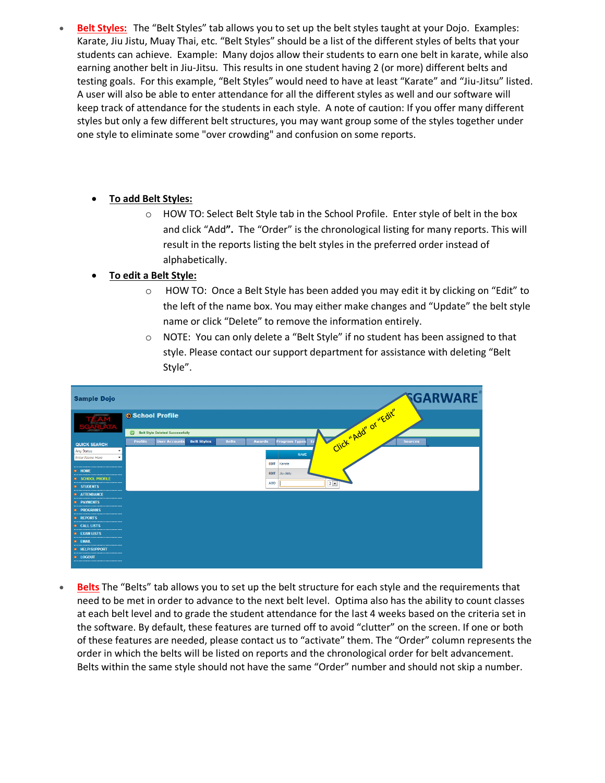<span id="page-4-0"></span> **Belt Styles:** The "Belt Styles" tab allows you to set up the belt styles taught at your Dojo. Examples: Karate, Jiu Jistu, Muay Thai, etc. "Belt Styles" should be a list of the different styles of belts that your students can achieve. Example: Many dojos allow their students to earn one belt in karate, while also earning another belt in Jiu-Jitsu. This results in one student having 2 (or more) different belts and testing goals. For this example, "Belt Styles" would need to have at least "Karate" and "Jiu-Jitsu" listed. A user will also be able to enter attendance for all the different styles as well and our software will keep track of attendance for the students in each style. A note of caution: If you offer many different styles but only a few different belt structures, you may want group some of the styles together under one style to eliminate some "over crowding" and confusion on some reports.

### **To add Belt Styles:**

o HOW TO: Select Belt Style tab in the School Profile. Enter style of belt in the box and click "Add**".** The "Order" is the chronological listing for many reports. This will result in the reports listing the belt styles in the preferred order instead of alphabetically.

### **To edit a Belt Style:**

- $\circ$  HOW TO: Once a Belt Style has been added you may edit it by clicking on "Edit" to the left of the name box. You may either make changes and "Update" the belt style name or click "Delete" to remove the information entirely.
- $\circ$  NOTE: You can only delete a "Belt Style" if no student has been assigned to that style. Please contact our support department for assistance with deleting "Belt Style".

| <b>Sample Dojo</b>                                                                                                                     | <b>SGARWARE</b>                                                                                                                                                |
|----------------------------------------------------------------------------------------------------------------------------------------|----------------------------------------------------------------------------------------------------------------------------------------------------------------|
|                                                                                                                                        | Click" Add" or "Edit"<br>School Profile                                                                                                                        |
| <b>QUICK SEARCH</b><br>Any Status<br>۰                                                                                                 | $\bullet$<br><b>Belt Style Deleted Successfully</b><br><b>User Accounts</b><br><b>Belt Styles</b><br><b>Program Types</b><br>Profile<br><b>Belts</b><br>Awards |
| <b>Enter Name Here</b><br>۰<br><br>$\rightarrow$ HOME                                                                                  | <b>NAME</b><br><b>EDIT</b><br>Karate                                                                                                                           |
| --------------------------------<br><b>B</b> SCHOOL PROFILE<br>---------------------------------<br><b>B</b> STUDENTS<br>$- - - - - -$ | EDIT Jiu-Jistu<br><b>ADD</b><br>$3 -$                                                                                                                          |
| <b>ATTENDANCE</b><br><br><b>B</b> PAYMENTS<br><br><b>E</b> PROGRAMS                                                                    |                                                                                                                                                                |
| <br><b>REPORTS</b><br>---------------------------------<br><b>E</b> CALL LISTS<br>--------------------------------                     |                                                                                                                                                                |
| <b>EXAM LISTS</b><br><br><b>B</b> FMAIL<br><br><b>BELP/SUPPORT</b>                                                                     |                                                                                                                                                                |
| <br><b>B</b> LOGOUT<br>---------------------------------                                                                               |                                                                                                                                                                |

<span id="page-4-1"></span>**Belts** The "Belts" tab allows you to set up the belt structure for each style and the requirements that need to be met in order to advance to the next belt level. Optima also has the ability to count classes at each belt level and to grade the student attendance for the last 4 weeks based on the criteria set in the software. By default, these features are turned off to avoid "clutter" on the screen. If one or both of these features are needed, please contact us to "activate" them. The "Order" column represents the order in which the belts will be listed on reports and the chronological order for belt advancement. Belts within the same style should not have the same "Order" number and should not skip a number.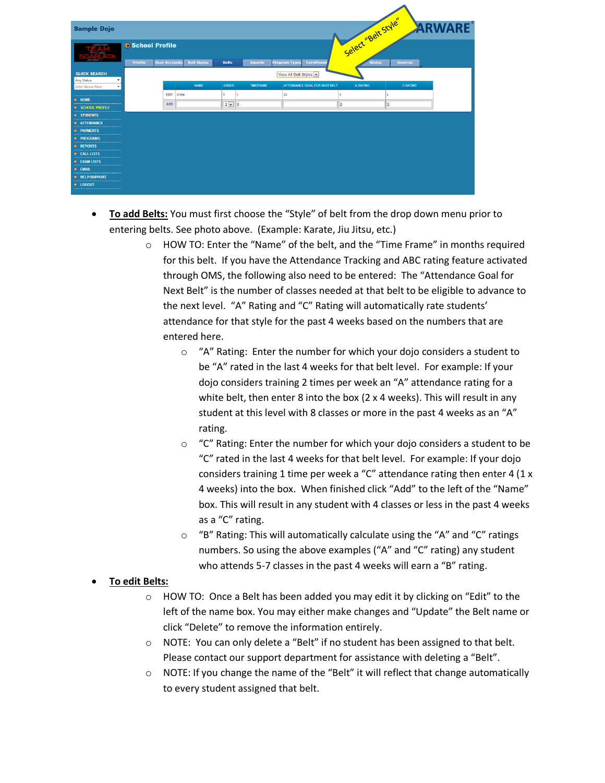| <b>Sample Dojo</b>                                           |                |                      |                    |              |                  |                               |                   |                     | ARWARE          |  |
|--------------------------------------------------------------|----------------|----------------------|--------------------|--------------|------------------|-------------------------------|-------------------|---------------------|-----------------|--|
|                                                              | School Profile |                      |                    |              |                  |                               |                   | Select "Belt Style" |                 |  |
|                                                              | Profile        | <b>User Accounts</b> | <b>Belt Styles</b> | <b>Belts</b> | <b>Awards</b>    | <b>Program Types</b>          | <b>Enrollment</b> | <b>Status</b>       | <b>Sources</b>  |  |
| <b>QUICK SEARCH</b>                                          |                |                      |                    |              |                  | View All Belt Styles          |                   |                     |                 |  |
| <b>Any Status</b><br>۰<br><b>Enter Name Here</b><br>÷.       |                |                      | <b>NAME</b>        | <b>ORDER</b> | <b>TIMEFRAME</b> | ATTENDANCE GOAL FOR NEXT BELT |                   | A RATING            | <b>C RATING</b> |  |
|                                                              |                | <b>EDIT</b> White    |                    | з            |                  | 24                            | 8                 |                     |                 |  |
| <b>B</b> HOME<br>                                            |                | <b>ADD</b>           |                    | $2 -$<br>0   |                  |                               | ١n                |                     | ١O              |  |
| <b>B</b> SCHOOL PROFILE<br>--------------------------------- |                |                      |                    |              |                  |                               |                   |                     |                 |  |
| <b>B</b> STUDENTS<br>                                        |                |                      |                    |              |                  |                               |                   |                     |                 |  |
| <b>ATTENDANCE</b><br><br><b>B</b> PAYMENTS                   |                |                      |                    |              |                  |                               |                   |                     |                 |  |
| <br><b>+ PROGRAMS</b>                                        |                |                      |                    |              |                  |                               |                   |                     |                 |  |
| <br><b>E</b> REPORTS                                         |                |                      |                    |              |                  |                               |                   |                     |                 |  |
| <br><b>E</b> CALL LISTS<br>                                  |                |                      |                    |              |                  |                               |                   |                     |                 |  |
| <b>B</b> EXAM LISTS<br>                                      |                |                      |                    |              |                  |                               |                   |                     |                 |  |
| <b>B</b> EMAIL<br>                                           |                |                      |                    |              |                  |                               |                   |                     |                 |  |
| <b>B</b> HELP/SUPPORT<br>                                    |                |                      |                    |              |                  |                               |                   |                     |                 |  |
| <b>E</b> LOGOUT<br>                                          |                |                      |                    |              |                  |                               |                   |                     |                 |  |

- **To add Belts:** You must first choose the "Style" of belt from the drop down menu prior to entering belts. See photo above. (Example: Karate, Jiu Jitsu, etc.)
	- $\circ$  HOW TO: Enter the "Name" of the belt, and the "Time Frame" in months required for this belt. If you have the Attendance Tracking and ABC rating feature activated through OMS, the following also need to be entered: The "Attendance Goal for Next Belt" is the number of classes needed at that belt to be eligible to advance to the next level. "A" Rating and "C" Rating will automatically rate students' attendance for that style for the past 4 weeks based on the numbers that are entered here.
		- o "A" Rating: Enter the number for which your dojo considers a student to be "A" rated in the last 4 weeks for that belt level. For example: If your dojo considers training 2 times per week an "A" attendance rating for a white belt, then enter 8 into the box (2 x 4 weeks). This will result in any student at this level with 8 classes or more in the past 4 weeks as an "A" rating.
		- $\circ$  "C" Rating: Enter the number for which your dojo considers a student to be "C" rated in the last 4 weeks for that belt level. For example: If your dojo considers training 1 time per week a "C" attendance rating then enter 4 (1 x 4 weeks) into the box. When finished click "Add" to the left of the "Name" box. This will result in any student with 4 classes or less in the past 4 weeks as a "C" rating.
		- o "B" Rating: This will automatically calculate using the "A" and "C" ratings numbers. So using the above examples ("A" and "C" rating) any student who attends 5-7 classes in the past 4 weeks will earn a "B" rating.

#### **To edit Belts:**

- $\circ$  HOW TO: Once a Belt has been added you may edit it by clicking on "Edit" to the left of the name box. You may either make changes and "Update" the Belt name or click "Delete" to remove the information entirely.
- $\circ$  NOTE: You can only delete a "Belt" if no student has been assigned to that belt. Please contact our support department for assistance with deleting a "Belt".
- $\circ$  NOTE: If you change the name of the "Belt" it will reflect that change automatically to every student assigned that belt.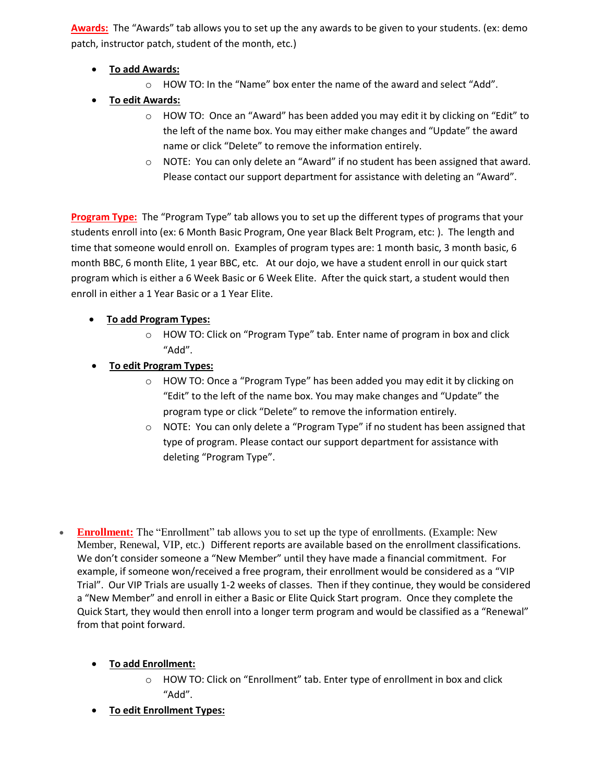<span id="page-6-0"></span>**Awards:** The "Awards" tab allows you to set up the any awards to be given to your students. (ex: demo patch, instructor patch, student of the month, etc.)

- **To add Awards:**
	- o HOW TO: In the "Name" box enter the name of the award and select "Add".
- **To edit Awards:**
	- $\circ$  HOW TO: Once an "Award" has been added you may edit it by clicking on "Edit" to the left of the name box. You may either make changes and "Update" the award name or click "Delete" to remove the information entirely.
	- $\circ$  NOTE: You can only delete an "Award" if no student has been assigned that award. Please contact our support department for assistance with deleting an "Award".

<span id="page-6-1"></span>**Program Type:** The "Program Type" tab allows you to set up the different types of programs that your students enroll into (ex: 6 Month Basic Program, One year Black Belt Program, etc: ). The length and time that someone would enroll on. Examples of program types are: 1 month basic, 3 month basic, 6 month BBC, 6 month Elite, 1 year BBC, etc. At our dojo, we have a student enroll in our quick start program which is either a 6 Week Basic or 6 Week Elite. After the quick start, a student would then enroll in either a 1 Year Basic or a 1 Year Elite.

# **To add Program Types:**

- o HOW TO: Click on "Program Type" tab. Enter name of program in box and click "Add".
- **To edit Program Types:**
	- $\circ$  HOW TO: Once a "Program Type" has been added you may edit it by clicking on "Edit" to the left of the name box. You may make changes and "Update" the program type or click "Delete" to remove the information entirely.
	- $\circ$  NOTE: You can only delete a "Program Type" if no student has been assigned that type of program. Please contact our support department for assistance with deleting "Program Type".
- <span id="page-6-2"></span> **Enrollment:** The "Enrollment" tab allows you to set up the type of enrollments. (Example: New Member, Renewal, VIP, etc.) Different reports are available based on the enrollment classifications. We don't consider someone a "New Member" until they have made a financial commitment. For example, if someone won/received a free program, their enrollment would be considered as a "VIP Trial". Our VIP Trials are usually 1-2 weeks of classes. Then if they continue, they would be considered a "New Member" and enroll in either a Basic or Elite Quick Start program. Once they complete the Quick Start, they would then enroll into a longer term program and would be classified as a "Renewal" from that point forward.
	- **To add Enrollment:**
		- o HOW TO: Click on "Enrollment" tab. Enter type of enrollment in box and click "Add".
	- **To edit Enrollment Types:**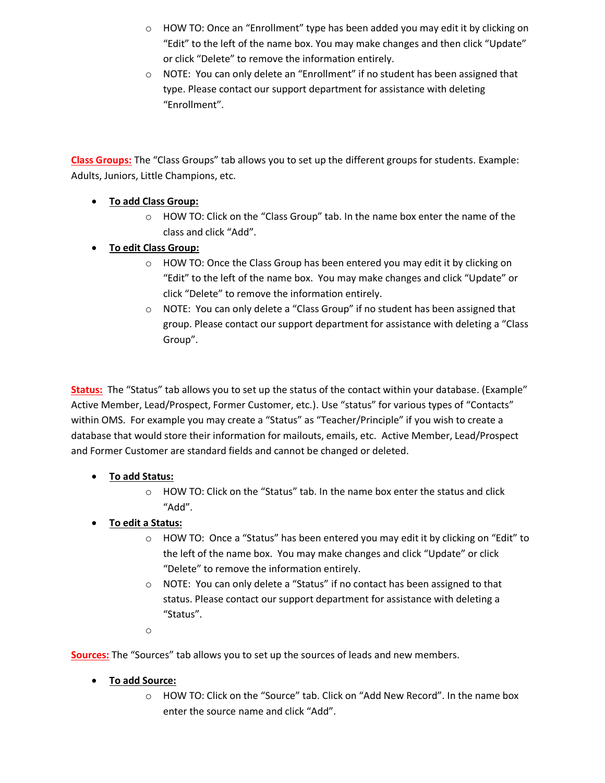- $\circ$  HOW TO: Once an "Enrollment" type has been added you may edit it by clicking on "Edit" to the left of the name box. You may make changes and then click "Update" or click "Delete" to remove the information entirely.
- o NOTE: You can only delete an "Enrollment" if no student has been assigned that type. Please contact our support department for assistance with deleting "Enrollment".

<span id="page-7-0"></span>**Class Groups:** The "Class Groups" tab allows you to set up the different groups for students. Example: Adults, Juniors, Little Champions, etc.

- **To add Class Group:**
	- $\circ$  HOW TO: Click on the "Class Group" tab. In the name box enter the name of the class and click "Add".
- **To edit Class Group:**
	- $\circ$  HOW TO: Once the Class Group has been entered you may edit it by clicking on "Edit" to the left of the name box. You may make changes and click "Update" or click "Delete" to remove the information entirely.
	- $\circ$  NOTE: You can only delete a "Class Group" if no student has been assigned that group. Please contact our support department for assistance with deleting a "Class Group".

<span id="page-7-1"></span>**Status:** The "Status" tab allows you to set up the status of the contact within your database. (Example" Active Member, Lead/Prospect, Former Customer, etc.). Use "status" for various types of "Contacts" within OMS. For example you may create a "Status" as "Teacher/Principle" if you wish to create a database that would store their information for mailouts, emails, etc. Active Member, Lead/Prospect and Former Customer are standard fields and cannot be changed or deleted.

- **To add Status:**
	- o HOW TO: Click on the "Status" tab. In the name box enter the status and click "Add".
- **To edit a Status:**
	- $\circ$  HOW TO: Once a "Status" has been entered you may edit it by clicking on "Edit" to the left of the name box. You may make changes and click "Update" or click "Delete" to remove the information entirely.
	- o NOTE: You can only delete a "Status" if no contact has been assigned to that status. Please contact our support department for assistance with deleting a "Status".

<span id="page-7-2"></span>o

**Sources:** The "Sources" tab allows you to set up the sources of leads and new members.

- **To add Source:** 
	- o HOW TO: Click on the "Source" tab. Click on "Add New Record". In the name box enter the source name and click "Add".